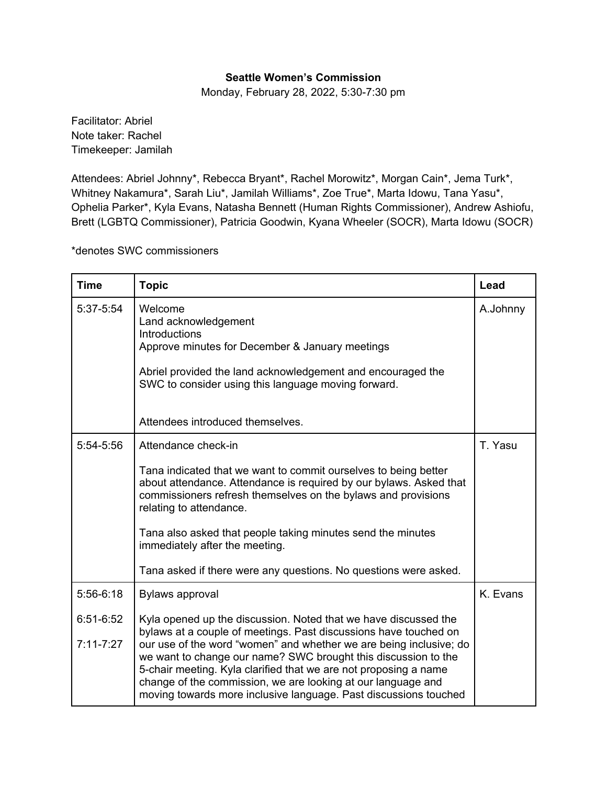## **Seattle Women's Commission**

Monday, February 28, 2022, 5:30-7:30 pm

Facilitator: Abriel Note taker: Rachel Timekeeper: Jamilah

Attendees: Abriel Johnny\*, Rebecca Bryant\*, Rachel Morowitz\*, Morgan Cain\*, Jema Turk\*, Whitney Nakamura\*, Sarah Liu\*, Jamilah Williams\*, Zoe True\*, Marta Idowu, Tana Yasu\*, Ophelia Parker\*, Kyla Evans, Natasha Bennett (Human Rights Commissioner), Andrew Ashiofu, Brett (LGBTQ Commissioner), Patricia Goodwin, Kyana Wheeler (SOCR), Marta Idowu (SOCR)

\*denotes SWC commissioners

| <b>Time</b>                               | <b>Topic</b>                                                                                                                                                                                                                                                                                                                                                                                                                                                                                                  | Lead     |
|-------------------------------------------|---------------------------------------------------------------------------------------------------------------------------------------------------------------------------------------------------------------------------------------------------------------------------------------------------------------------------------------------------------------------------------------------------------------------------------------------------------------------------------------------------------------|----------|
| 5:37-5:54                                 | Welcome<br>Land acknowledgement<br>Introductions<br>Approve minutes for December & January meetings<br>Abriel provided the land acknowledgement and encouraged the<br>SWC to consider using this language moving forward.                                                                                                                                                                                                                                                                                     | A.Johnny |
|                                           | Attendees introduced themselves.                                                                                                                                                                                                                                                                                                                                                                                                                                                                              |          |
| 5:54-5:56                                 | Attendance check-in<br>Tana indicated that we want to commit ourselves to being better<br>about attendance. Attendance is required by our bylaws. Asked that<br>commissioners refresh themselves on the bylaws and provisions<br>relating to attendance.<br>Tana also asked that people taking minutes send the minutes<br>immediately after the meeting.<br>Tana asked if there were any questions. No questions were asked.                                                                                 | T. Yasu  |
| $5:56-6:18$<br>6:51-6:52<br>$7:11 - 7:27$ | <b>Bylaws approval</b><br>Kyla opened up the discussion. Noted that we have discussed the<br>bylaws at a couple of meetings. Past discussions have touched on<br>our use of the word "women" and whether we are being inclusive; do<br>we want to change our name? SWC brought this discussion to the<br>5-chair meeting. Kyla clarified that we are not proposing a name<br>change of the commission, we are looking at our language and<br>moving towards more inclusive language. Past discussions touched | K. Evans |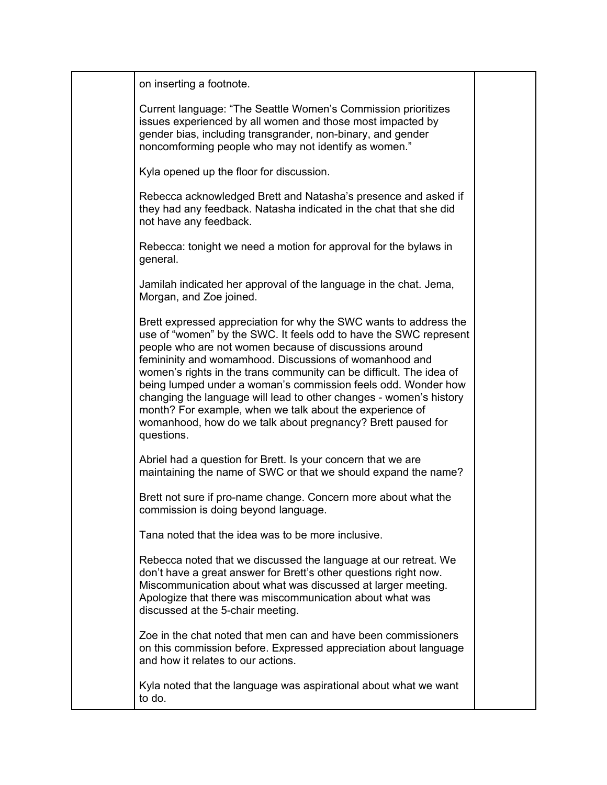| on inserting a footnote.                                                                                                                                                                                                                                                                                                                                                                                                                                                                                                                                                                                          |  |
|-------------------------------------------------------------------------------------------------------------------------------------------------------------------------------------------------------------------------------------------------------------------------------------------------------------------------------------------------------------------------------------------------------------------------------------------------------------------------------------------------------------------------------------------------------------------------------------------------------------------|--|
| Current language: "The Seattle Women's Commission prioritizes<br>issues experienced by all women and those most impacted by<br>gender bias, including transgrander, non-binary, and gender<br>noncomforming people who may not identify as women."                                                                                                                                                                                                                                                                                                                                                                |  |
| Kyla opened up the floor for discussion.                                                                                                                                                                                                                                                                                                                                                                                                                                                                                                                                                                          |  |
| Rebecca acknowledged Brett and Natasha's presence and asked if<br>they had any feedback. Natasha indicated in the chat that she did<br>not have any feedback.                                                                                                                                                                                                                                                                                                                                                                                                                                                     |  |
| Rebecca: tonight we need a motion for approval for the bylaws in<br>general.                                                                                                                                                                                                                                                                                                                                                                                                                                                                                                                                      |  |
| Jamilah indicated her approval of the language in the chat. Jema,<br>Morgan, and Zoe joined.                                                                                                                                                                                                                                                                                                                                                                                                                                                                                                                      |  |
| Brett expressed appreciation for why the SWC wants to address the<br>use of "women" by the SWC. It feels odd to have the SWC represent<br>people who are not women because of discussions around<br>femininity and womamhood. Discussions of womanhood and<br>women's rights in the trans community can be difficult. The idea of<br>being lumped under a woman's commission feels odd. Wonder how<br>changing the language will lead to other changes - women's history<br>month? For example, when we talk about the experience of<br>womanhood, how do we talk about pregnancy? Brett paused for<br>questions. |  |
| Abriel had a question for Brett. Is your concern that we are<br>maintaining the name of SWC or that we should expand the name?                                                                                                                                                                                                                                                                                                                                                                                                                                                                                    |  |
| Brett not sure if pro-name change. Concern more about what the<br>commission is doing beyond language.                                                                                                                                                                                                                                                                                                                                                                                                                                                                                                            |  |
| Tana noted that the idea was to be more inclusive.                                                                                                                                                                                                                                                                                                                                                                                                                                                                                                                                                                |  |
| Rebecca noted that we discussed the language at our retreat. We<br>don't have a great answer for Brett's other questions right now.<br>Miscommunication about what was discussed at larger meeting.<br>Apologize that there was miscommunication about what was<br>discussed at the 5-chair meeting.                                                                                                                                                                                                                                                                                                              |  |
| Zoe in the chat noted that men can and have been commissioners<br>on this commission before. Expressed appreciation about language<br>and how it relates to our actions.                                                                                                                                                                                                                                                                                                                                                                                                                                          |  |
| Kyla noted that the language was aspirational about what we want<br>to do.                                                                                                                                                                                                                                                                                                                                                                                                                                                                                                                                        |  |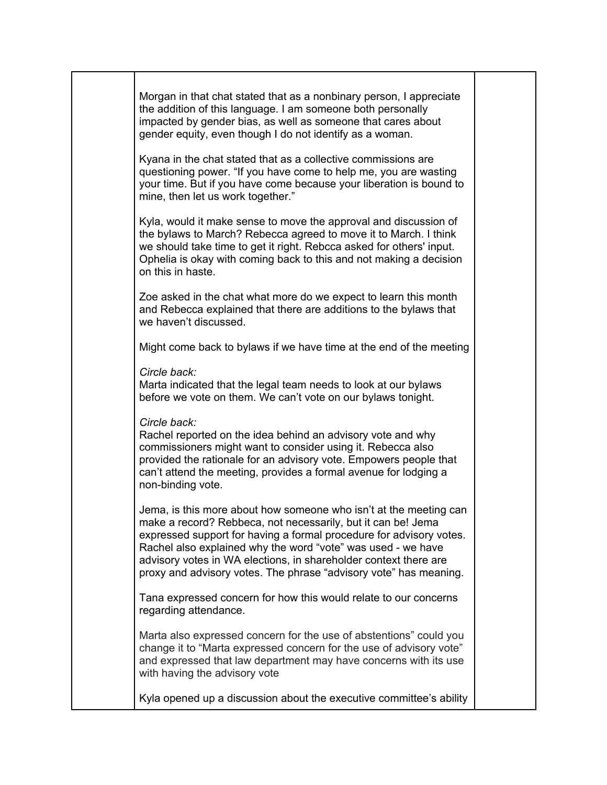| Morgan in that chat stated that as a nonbinary person, I appreciate<br>the addition of this language. I am someone both personally<br>impacted by gender bias, as well as someone that cares about<br>gender equity, even though I do not identify as a woman.<br>Kyana in the chat stated that as a collective commissions are<br>questioning power. "If you have come to help me, you are wasting<br>your time. But if you have come because your liberation is bound to |  |
|----------------------------------------------------------------------------------------------------------------------------------------------------------------------------------------------------------------------------------------------------------------------------------------------------------------------------------------------------------------------------------------------------------------------------------------------------------------------------|--|
| mine, then let us work together."<br>Kyla, would it make sense to move the approval and discussion of<br>the bylaws to March? Rebecca agreed to move it to March. I think<br>we should take time to get it right. Rebcca asked for others' input.<br>Ophelia is okay with coming back to this and not making a decision<br>on this in haste.                                                                                                                               |  |
| Zoe asked in the chat what more do we expect to learn this month<br>and Rebecca explained that there are additions to the bylaws that<br>we haven't discussed.                                                                                                                                                                                                                                                                                                             |  |
| Might come back to bylaws if we have time at the end of the meeting                                                                                                                                                                                                                                                                                                                                                                                                        |  |
| Circle back:<br>Marta indicated that the legal team needs to look at our bylaws<br>before we vote on them. We can't vote on our bylaws tonight.                                                                                                                                                                                                                                                                                                                            |  |
| Circle back:<br>Rachel reported on the idea behind an advisory vote and why<br>commissioners might want to consider using it. Rebecca also<br>provided the rationale for an advisory vote. Empowers people that<br>can't attend the meeting, provides a formal avenue for lodging a<br>non-binding vote.                                                                                                                                                                   |  |
| Jema, is this more about how someone who isn't at the meeting can<br>make a record? Rebbeca, not necessarily, but it can be! Jema<br>expressed support for having a formal procedure for advisory votes.<br>Rachel also explained why the word "vote" was used - we have<br>advisory votes in WA elections, in shareholder context there are<br>proxy and advisory votes. The phrase "advisory vote" has meaning.                                                          |  |
| Tana expressed concern for how this would relate to our concerns<br>regarding attendance.                                                                                                                                                                                                                                                                                                                                                                                  |  |
| Marta also expressed concern for the use of abstentions" could you<br>change it to "Marta expressed concern for the use of advisory vote"<br>and expressed that law department may have concerns with its use<br>with having the advisory vote                                                                                                                                                                                                                             |  |
| Kyla opened up a discussion about the executive committee's ability                                                                                                                                                                                                                                                                                                                                                                                                        |  |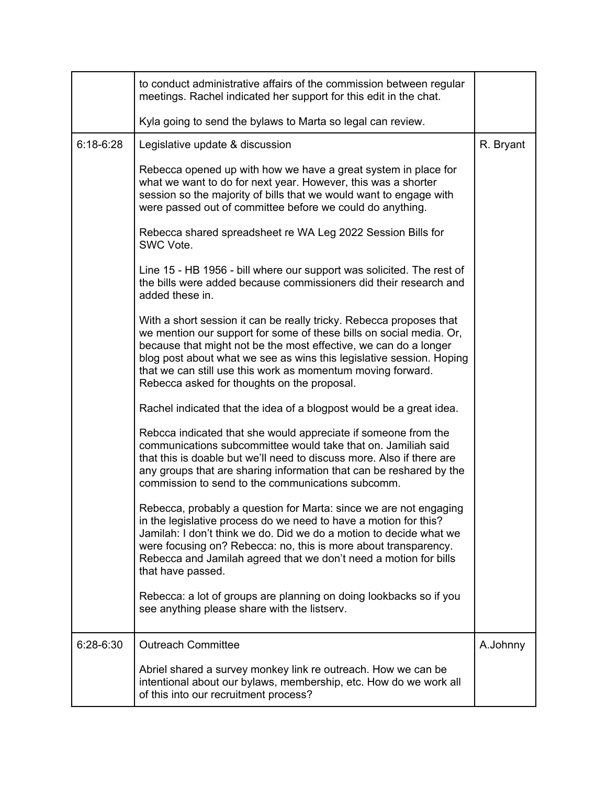|             | to conduct administrative affairs of the commission between regular<br>meetings. Rachel indicated her support for this edit in the chat.                                                                                                                                                                                                                                                             |           |
|-------------|------------------------------------------------------------------------------------------------------------------------------------------------------------------------------------------------------------------------------------------------------------------------------------------------------------------------------------------------------------------------------------------------------|-----------|
|             | Kyla going to send the bylaws to Marta so legal can review.                                                                                                                                                                                                                                                                                                                                          |           |
| $6:18-6:28$ | Legislative update & discussion                                                                                                                                                                                                                                                                                                                                                                      | R. Bryant |
|             | Rebecca opened up with how we have a great system in place for<br>what we want to do for next year. However, this was a shorter<br>session so the majority of bills that we would want to engage with<br>were passed out of committee before we could do anything.                                                                                                                                   |           |
|             | Rebecca shared spreadsheet re WA Leg 2022 Session Bills for<br>SWC Vote.                                                                                                                                                                                                                                                                                                                             |           |
|             | Line 15 - HB 1956 - bill where our support was solicited. The rest of<br>the bills were added because commissioners did their research and<br>added these in.                                                                                                                                                                                                                                        |           |
|             | With a short session it can be really tricky. Rebecca proposes that<br>we mention our support for some of these bills on social media. Or,<br>because that might not be the most effective, we can do a longer<br>blog post about what we see as wins this legislative session. Hoping<br>that we can still use this work as momentum moving forward.<br>Rebecca asked for thoughts on the proposal. |           |
|             | Rachel indicated that the idea of a blogpost would be a great idea.                                                                                                                                                                                                                                                                                                                                  |           |
|             | Rebcca indicated that she would appreciate if someone from the<br>communications subcommittee would take that on. Jamiliah said<br>that this is doable but we'll need to discuss more. Also if there are<br>any groups that are sharing information that can be reshared by the<br>commission to send to the communications subcomm.                                                                 |           |
|             | Rebecca, probably a question for Marta: since we are not engaging<br>in the legislative process do we need to have a motion for this?<br>Jamilah: I don't think we do. Did we do a motion to decide what we<br>were focusing on? Rebecca: no, this is more about transparency.<br>Rebecca and Jamilah agreed that we don't need a motion for bills<br>that have passed.                              |           |
|             | Rebecca: a lot of groups are planning on doing lookbacks so if you<br>see anything please share with the listserv.                                                                                                                                                                                                                                                                                   |           |
| 6:28-6:30   | <b>Outreach Committee</b>                                                                                                                                                                                                                                                                                                                                                                            | A.Johnny  |
|             | Abriel shared a survey monkey link re outreach. How we can be<br>intentional about our bylaws, membership, etc. How do we work all<br>of this into our recruitment process?                                                                                                                                                                                                                          |           |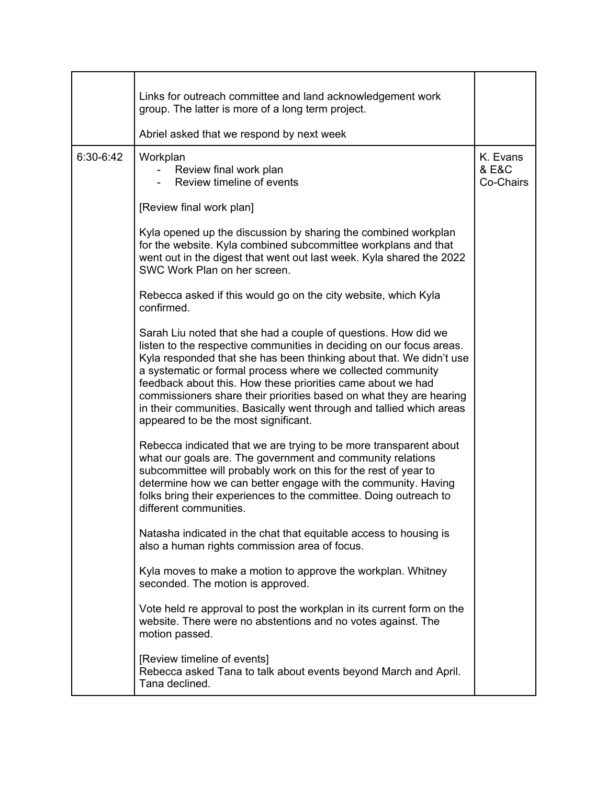|           | Links for outreach committee and land acknowledgement work<br>group. The latter is more of a long term project.                                                                                                                                                                                                                                                                                                                                                                                                                    |                                |
|-----------|------------------------------------------------------------------------------------------------------------------------------------------------------------------------------------------------------------------------------------------------------------------------------------------------------------------------------------------------------------------------------------------------------------------------------------------------------------------------------------------------------------------------------------|--------------------------------|
|           | Abriel asked that we respond by next week                                                                                                                                                                                                                                                                                                                                                                                                                                                                                          |                                |
| 6:30-6:42 | Workplan<br>Review final work plan<br>Review timeline of events                                                                                                                                                                                                                                                                                                                                                                                                                                                                    | K. Evans<br>& E&C<br>Co-Chairs |
|           | [Review final work plan]                                                                                                                                                                                                                                                                                                                                                                                                                                                                                                           |                                |
|           | Kyla opened up the discussion by sharing the combined workplan<br>for the website. Kyla combined subcommittee workplans and that<br>went out in the digest that went out last week. Kyla shared the 2022<br>SWC Work Plan on her screen.                                                                                                                                                                                                                                                                                           |                                |
|           | Rebecca asked if this would go on the city website, which Kyla<br>confirmed.                                                                                                                                                                                                                                                                                                                                                                                                                                                       |                                |
|           | Sarah Liu noted that she had a couple of questions. How did we<br>listen to the respective communities in deciding on our focus areas.<br>Kyla responded that she has been thinking about that. We didn't use<br>a systematic or formal process where we collected community<br>feedback about this. How these priorities came about we had<br>commissioners share their priorities based on what they are hearing<br>in their communities. Basically went through and tallied which areas<br>appeared to be the most significant. |                                |
|           | Rebecca indicated that we are trying to be more transparent about<br>what our goals are. The government and community relations<br>subcommittee will probably work on this for the rest of year to<br>determine how we can better engage with the community. Having<br>folks bring their experiences to the committee. Doing outreach to<br>different communities.                                                                                                                                                                 |                                |
|           | Natasha indicated in the chat that equitable access to housing is<br>also a human rights commission area of focus.                                                                                                                                                                                                                                                                                                                                                                                                                 |                                |
|           | Kyla moves to make a motion to approve the workplan. Whitney<br>seconded. The motion is approved.                                                                                                                                                                                                                                                                                                                                                                                                                                  |                                |
|           | Vote held re approval to post the workplan in its current form on the<br>website. There were no abstentions and no votes against. The<br>motion passed.                                                                                                                                                                                                                                                                                                                                                                            |                                |
|           | [Review timeline of events]<br>Rebecca asked Tana to talk about events beyond March and April.<br>Tana declined.                                                                                                                                                                                                                                                                                                                                                                                                                   |                                |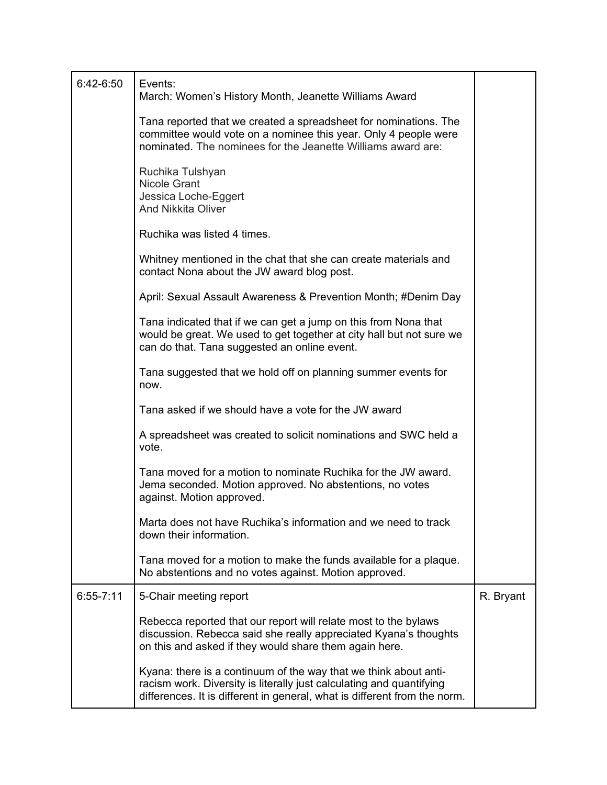| 6:42-6:50     | Events:<br>March: Women's History Month, Jeanette Williams Award                                                                                                                                                      |           |
|---------------|-----------------------------------------------------------------------------------------------------------------------------------------------------------------------------------------------------------------------|-----------|
|               | Tana reported that we created a spreadsheet for nominations. The<br>committee would vote on a nominee this year. Only 4 people were<br>nominated. The nominees for the Jeanette Williams award are:                   |           |
|               | Ruchika Tulshyan<br>Nicole Grant<br>Jessica Loche-Eggert<br><b>And Nikkita Oliver</b>                                                                                                                                 |           |
|               | Ruchika was listed 4 times.                                                                                                                                                                                           |           |
|               | Whitney mentioned in the chat that she can create materials and<br>contact Nona about the JW award blog post.                                                                                                         |           |
|               | April: Sexual Assault Awareness & Prevention Month; #Denim Day                                                                                                                                                        |           |
|               | Tana indicated that if we can get a jump on this from Nona that<br>would be great. We used to get together at city hall but not sure we<br>can do that. Tana suggested an online event.                               |           |
|               | Tana suggested that we hold off on planning summer events for<br>now.                                                                                                                                                 |           |
|               | Tana asked if we should have a vote for the JW award                                                                                                                                                                  |           |
|               | A spreadsheet was created to solicit nominations and SWC held a<br>vote.                                                                                                                                              |           |
|               | Tana moved for a motion to nominate Ruchika for the JW award.<br>Jema seconded. Motion approved. No abstentions, no votes<br>against. Motion approved.                                                                |           |
|               | Marta does not have Ruchika's information and we need to track<br>down their information.                                                                                                                             |           |
|               | Tana moved for a motion to make the funds available for a plaque.<br>No abstentions and no votes against. Motion approved.                                                                                            |           |
| $6:55 - 7:11$ | 5-Chair meeting report                                                                                                                                                                                                | R. Bryant |
|               | Rebecca reported that our report will relate most to the bylaws<br>discussion. Rebecca said she really appreciated Kyana's thoughts<br>on this and asked if they would share them again here.                         |           |
|               | Kyana: there is a continuum of the way that we think about anti-<br>racism work. Diversity is literally just calculating and quantifying<br>differences. It is different in general, what is different from the norm. |           |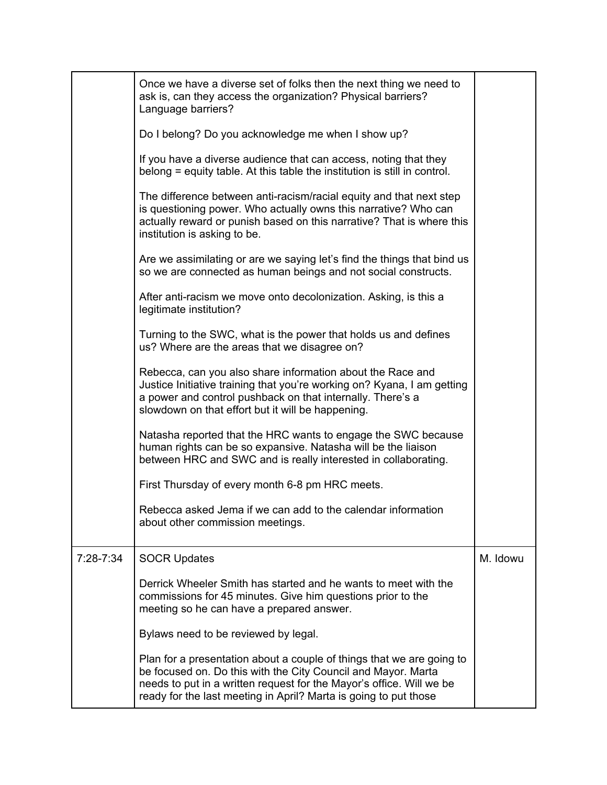|           | Once we have a diverse set of folks then the next thing we need to<br>ask is, can they access the organization? Physical barriers?<br>Language barriers?                                                                                                                           |          |
|-----------|------------------------------------------------------------------------------------------------------------------------------------------------------------------------------------------------------------------------------------------------------------------------------------|----------|
|           | Do I belong? Do you acknowledge me when I show up?                                                                                                                                                                                                                                 |          |
|           | If you have a diverse audience that can access, noting that they<br>belong = equity table. At this table the institution is still in control.                                                                                                                                      |          |
|           | The difference between anti-racism/racial equity and that next step<br>is questioning power. Who actually owns this narrative? Who can<br>actually reward or punish based on this narrative? That is where this<br>institution is asking to be.                                    |          |
|           | Are we assimilating or are we saying let's find the things that bind us<br>so we are connected as human beings and not social constructs.                                                                                                                                          |          |
|           | After anti-racism we move onto decolonization. Asking, is this a<br>legitimate institution?                                                                                                                                                                                        |          |
|           | Turning to the SWC, what is the power that holds us and defines<br>us? Where are the areas that we disagree on?                                                                                                                                                                    |          |
|           | Rebecca, can you also share information about the Race and<br>Justice Initiative training that you're working on? Kyana, I am getting<br>a power and control pushback on that internally. There's a<br>slowdown on that effort but it will be happening.                           |          |
|           | Natasha reported that the HRC wants to engage the SWC because<br>human rights can be so expansive. Natasha will be the liaison<br>between HRC and SWC and is really interested in collaborating.                                                                                   |          |
|           | First Thursday of every month 6-8 pm HRC meets.                                                                                                                                                                                                                                    |          |
|           | Rebecca asked Jema if we can add to the calendar information<br>about other commission meetings.                                                                                                                                                                                   |          |
| 7:28-7:34 | <b>SOCR Updates</b>                                                                                                                                                                                                                                                                | M. Idowu |
|           | Derrick Wheeler Smith has started and he wants to meet with the<br>commissions for 45 minutes. Give him questions prior to the<br>meeting so he can have a prepared answer.                                                                                                        |          |
|           | Bylaws need to be reviewed by legal.                                                                                                                                                                                                                                               |          |
|           | Plan for a presentation about a couple of things that we are going to<br>be focused on. Do this with the City Council and Mayor. Marta<br>needs to put in a written request for the Mayor's office. Will we be<br>ready for the last meeting in April? Marta is going to put those |          |